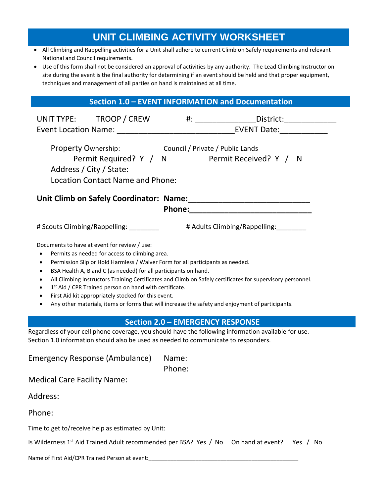# **UNIT CLIMBING ACTIVITY WORKSHEET**

- All Climbing and Rappelling activities for a Unit shall adhere to current Climb on Safely requirements and relevant National and Council requirements.
- Use of this form shall not be considered an approval of activities by any authority. The Lead Climbing Instructor on site during the event is the final authority for determining if an event should be held and that proper equipment, techniques and management of all parties on hand is maintained at all time.

## **Section 1.0 – EVENT INFORMATION and Documentation**

| UNIT TYPE: TROOP / CREW                                                                                                                                                                                                                                                                                                                                                                                                                                                                                                                                                                                              |                 |                                         |  |  |  |  |  |  |  |
|----------------------------------------------------------------------------------------------------------------------------------------------------------------------------------------------------------------------------------------------------------------------------------------------------------------------------------------------------------------------------------------------------------------------------------------------------------------------------------------------------------------------------------------------------------------------------------------------------------------------|-----------------|-----------------------------------------|--|--|--|--|--|--|--|
| Property Ownership: Council / Private / Public Lands<br>Permit Required? Y / N Permit Received? Y / N<br>Address / City / State:<br><b>Location Contact Name and Phone:</b>                                                                                                                                                                                                                                                                                                                                                                                                                                          |                 |                                         |  |  |  |  |  |  |  |
|                                                                                                                                                                                                                                                                                                                                                                                                                                                                                                                                                                                                                      |                 |                                         |  |  |  |  |  |  |  |
|                                                                                                                                                                                                                                                                                                                                                                                                                                                                                                                                                                                                                      |                 |                                         |  |  |  |  |  |  |  |
| # Scouts Climbing/Rappelling: _________ # Adults Climbing/Rappelling: ________                                                                                                                                                                                                                                                                                                                                                                                                                                                                                                                                       |                 |                                         |  |  |  |  |  |  |  |
| Documents to have at event for review / use:<br>Permits as needed for access to climbing area.<br>$\bullet$<br>Permission Slip or Hold Harmless / Waiver Form for all participants as needed.<br>٠<br>BSA Health A, B and C (as needed) for all participants on hand.<br>All Climbing Instructors Training Certificates and Climb on Safely certificates for supervisory personnel.<br>1 <sup>st</sup> Aid / CPR Trained person on hand with certificate.<br>First Aid kit appropriately stocked for this event.<br>Any other materials, items or forms that will increase the safety and enjoyment of participants. |                 |                                         |  |  |  |  |  |  |  |
|                                                                                                                                                                                                                                                                                                                                                                                                                                                                                                                                                                                                                      |                 | <b>Section 2.0 - EMERGENCY RESPONSE</b> |  |  |  |  |  |  |  |
| Regardless of your cell phone coverage, you should have the following information available for use.<br>Section 1.0 information should also be used as needed to communicate to responders.                                                                                                                                                                                                                                                                                                                                                                                                                          |                 |                                         |  |  |  |  |  |  |  |
| <b>Emergency Response (Ambulance)</b>                                                                                                                                                                                                                                                                                                                                                                                                                                                                                                                                                                                | Name:<br>Phone: |                                         |  |  |  |  |  |  |  |
| <b>Medical Care Facility Name:</b>                                                                                                                                                                                                                                                                                                                                                                                                                                                                                                                                                                                   |                 |                                         |  |  |  |  |  |  |  |

Address:

Phone:

Time to get to/receive help as estimated by Unit:

Is Wilderness 1<sup>st</sup> Aid Trained Adult recommended per BSA? Yes / No On hand at event? Yes / No

Name of First Aid/CPR Trained Person at event: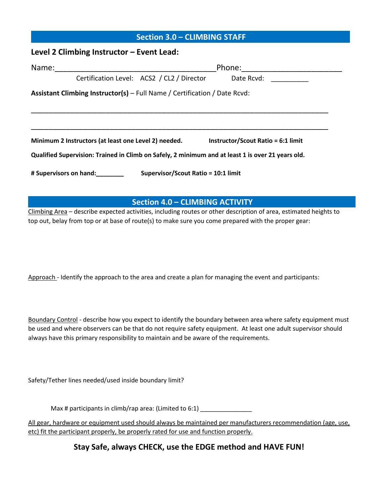# **Section 3.0 – CLIMBING STAFF**

#### **Level 2 Climbing Instructor – Event Lead:**

| Name:                                                                                             |  | Phone: ___________________                           |  |                                           |  |  |  |  |
|---------------------------------------------------------------------------------------------------|--|------------------------------------------------------|--|-------------------------------------------|--|--|--|--|
|                                                                                                   |  | Certification Level: ACS2 / CL2 / Director           |  | Date Rcyd:                                |  |  |  |  |
| Assistant Climbing Instructor(s) – Full Name / Certification / Date Rcvd:                         |  |                                                      |  |                                           |  |  |  |  |
|                                                                                                   |  |                                                      |  |                                           |  |  |  |  |
|                                                                                                   |  | Minimum 2 Instructors (at least one Level 2) needed. |  | <b>Instructor/Scout Ratio = 6:1 limit</b> |  |  |  |  |
| Qualified Supervision: Trained in Climb on Safely, 2 minimum and at least 1 is over 21 years old. |  |                                                      |  |                                           |  |  |  |  |
| Supervisor/Scout Ratio = 10:1 limit<br># Supervisors on hand:                                     |  |                                                      |  |                                           |  |  |  |  |

## **Section 4.0 – CLIMBING ACTIVITY**

Climbing Area - describe expected activities, including routes or other description of area, estimated heights to top out, belay from top or at base of route(s) to make sure you come prepared with the proper gear:

Approach - Identify the approach to the area and create a plan for managing the event and participants:

Boundary Control - describe how you expect to identify the boundary between area where safety equipment must be used and where observers can be that do not require safety equipment. At least one adult supervisor should always have this primary responsibility to maintain and be aware of the requirements.

Safety/Tether lines needed/used inside boundary limit?

Max # participants in climb/rap area: (Limited to  $6:1$ )

All gear, hardware or equipment used should always be maintained per manufacturers recommendation (age, use, etc) fit the participant properly, be properly rated for use and function properly.

**Stay Safe, always CHECK, use the EDGE method and HAVE FUN!**